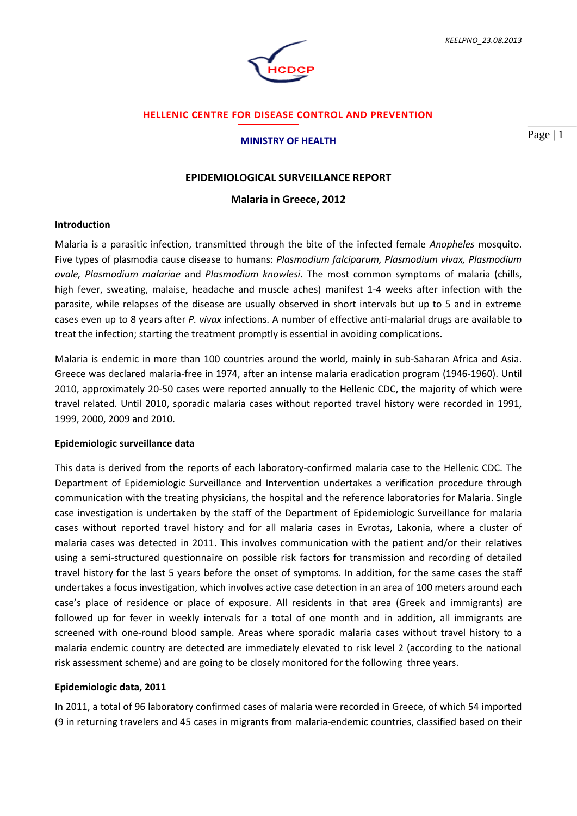

## **HELLENIC CENTRE FOR DISEASE CONTROL AND PREVENTION**

#### **MINISTRY OF HEALTH**

Page | 1

## **EPIDEMIOLOGICAL SURVEILLANCE REPORT**

### **Malaria in Greece, 2012**

## **Introduction**

Malaria is a parasitic infection, transmitted through the bite of the infected female *Anopheles* mosquito. Five types of plasmodia cause disease to humans: *Plasmodium falciparum, Plasmodium vivax, Plasmodium ovale, Plasmodium malariae* and *Plasmodium knowlesi*. The most common symptoms of malaria (chills, high fever, sweating, malaise, headache and muscle aches) manifest 1-4 weeks after infection with the parasite, while relapses of the disease are usually observed in short intervals but up to 5 and in extreme cases even up to 8 years after *P. vivax* infections. A number of effective anti-malarial drugs are available to treat the infection; starting the treatment promptly is essential in avoiding complications.

Malaria is endemic in more than 100 countries around the world, mainly in sub-Saharan Africa and Asia. Greece was declared malaria-free in 1974, after an intense malaria eradication program (1946-1960). Until 2010, approximately 20-50 cases were reported annually to the Hellenic CDC, the majority of which were travel related. Until 2010, sporadic malaria cases without reported travel history were recorded in 1991, 1999, 2000, 2009 and 2010.

## **Epidemiologic surveillance data**

This data is derived from the reports of each laboratory-confirmed malaria case to the Hellenic CDC. The Department of Epidemiologic Surveillance and Intervention undertakes a verification procedure through communication with the treating physicians, the hospital and the reference laboratories for Malaria. Single case investigation is undertaken by the staff of the Department of Epidemiologic Surveillance for malaria cases without reported travel history and for all malaria cases in Evrotas, Lakonia, where a cluster of malaria cases was detected in 2011. This involves communication with the patient and/or their relatives using a semi-structured questionnaire on possible risk factors for transmission and recording of detailed travel history for the last 5 years before the onset of symptoms. In addition, for the same cases the staff undertakes a focus investigation, which involves active case detection in an area of 100 meters around each case's place of residence or place of exposure. All residents in that area (Greek and immigrants) are followed up for fever in weekly intervals for a total of one month and in addition, all immigrants are screened with one-round blood sample. Areas where sporadic malaria cases without travel history to a malaria endemic country are detected are immediately elevated to risk level 2 (according to the national risk assessment scheme) and are going to be closely monitored for the following three years.

### **Epidemiologic data, 2011**

In 2011, a total of 96 laboratory confirmed cases of malaria were recorded in Greece, of which 54 imported (9 in returning travelers and 45 cases in migrants from malaria-endemic countries, classified based on their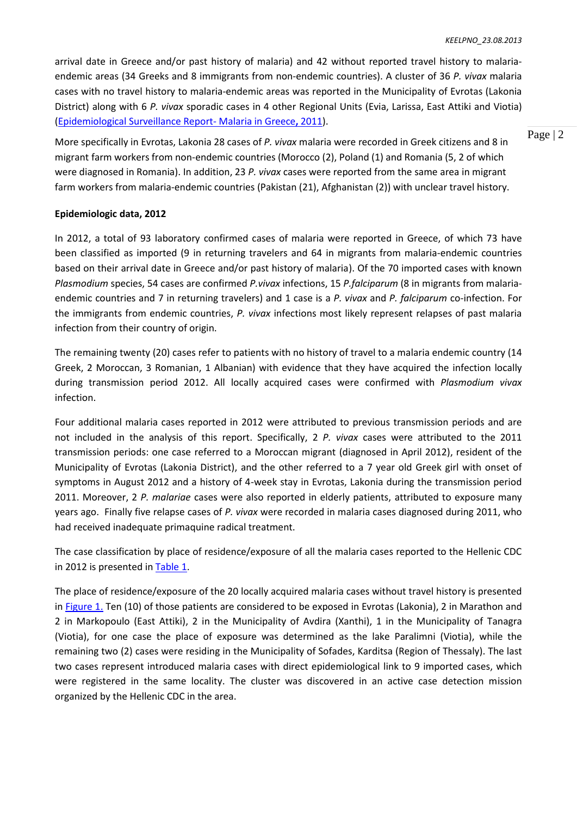arrival date in Greece and/or past history of malaria) and 42 without reported travel history to malariaendemic areas (34 Greeks and 8 immigrants from non-endemic countries). A cluster of 36 *P. vivax* malaria cases with no travel history to malaria-endemic areas was reported in the Municipality of Evrotas (Lakonia District) along with 6 *P. vivax* sporadic cases in 4 other Regional Units (Evia, Larissa, East Attiki and Viotia) [\(Epidemiological Surveillance Report-](http://www.keelpno.gr/Portals/0/������/��������/Malaria_Report_EN_2011%2012%2031.pdf) Malaria in Greece**,** 2011).

More specifically in Evrotas, Lakonia 28 cases of *P. vivax* malaria were recorded in Greek citizens and 8 in migrant farm workers from non-endemic countries (Morocco (2), Poland (1) and Romania (5, 2 of which were diagnosed in Romania). In addition, 23 *P. vivax* cases were reported from the same area in migrant farm workers from malaria-endemic countries (Pakistan (21), Afghanistan (2)) with unclear travel history.

## **Epidemiologic data, 2012**

In 2012, a total of 93 laboratory confirmed cases of malaria were reported in Greece, of which 73 have been classified as imported (9 in returning travelers and 64 in migrants from malaria-endemic countries based on their arrival date in Greece and/or past history of malaria). Of the 70 imported cases with known *Plasmodium* species, 54 cases are confirmed *P.vivax* infections, 15 *P.falciparum* (8 in migrants from malariaendemic countries and 7 in returning travelers) and 1 case is a *P. vivax* and *P. falciparum* co-infection. For the immigrants from endemic countries, *P. vivax* infections most likely represent relapses of past malaria infection from their country of origin.

The remaining twenty (20) cases refer to patients with no history of travel to a malaria endemic country (14 Greek, 2 Moroccan, 3 Romanian, 1 Albanian) with evidence that they have acquired the infection locally during transmission period 2012. All locally acquired cases were confirmed with *Plasmodium vivax*  infection.

Four additional malaria cases reported in 2012 were attributed to previous transmission periods and are not included in the analysis of this report. Specifically, 2 *P. vivax* cases were attributed to the 2011 transmission periods: one case referred to a Moroccan migrant (diagnosed in April 2012), resident of the Municipality of Evrotas (Lakonia District), and the other referred to a 7 year old Greek girl with onset of symptoms in August 2012 and a history of 4-week stay in Evrotas, Lakonia during the transmission period 2011. Moreover, 2 *P. malariae* cases were also reported in elderly patients, attributed to exposure many years ago. Finally five relapse cases of *P. vivax* were recorded in malaria cases diagnosed during 2011, who had received inadequate primaquine radical treatment.

The case classification by place of residence/exposure of all the malaria cases reported to the Hellenic CDC in 2012 is presented i[n Table 1.](#page-2-0)

The place of residence/exposure of the 20 locally acquired malaria cases without travel history is presented in [Figure 1.](#page-3-0) Ten (10) of those patients are considered to be exposed in Evrotas (Lakonia), 2 in Marathon and 2 in Markopoulo (East Attiki), 2 in the Municipality of Avdira (Xanthi), 1 in the Municipality of Tanagra (Viotia), for one case the place of exposure was determined as the lake Paralimni (Viotia), while the remaining two (2) cases were residing in the Municipality of Sofades, Karditsa (Region of Thessaly). The last two cases represent introduced malaria cases with direct epidemiological link to 9 imported cases, which were registered in the same locality. The cluster was discovered in an active case detection mission organized by the Hellenic CDC in the area.

Page | 2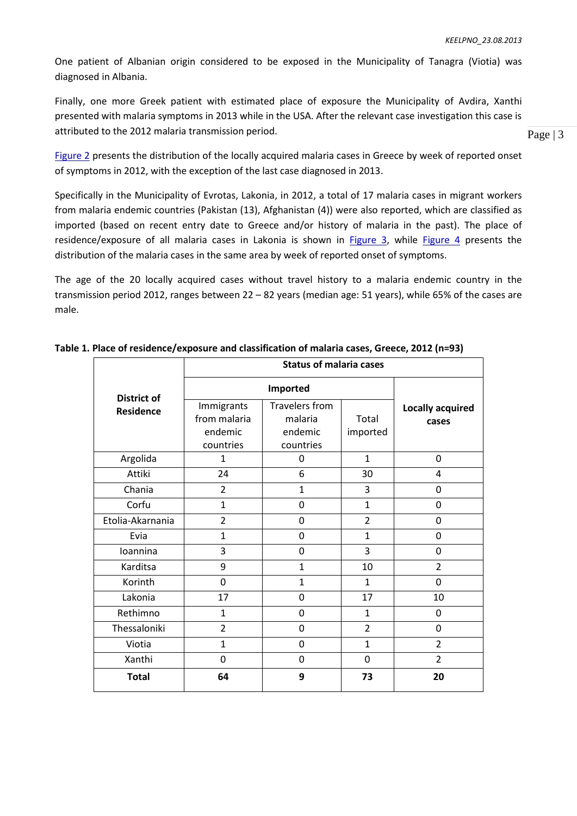One patient of Albanian origin considered to be exposed in the Municipality of Tanagra (Viotia) was diagnosed in Albania.

Finally, one more Greek patient with estimated place of exposure the Municipality of Avdira, Xanthi presented with malaria symptoms in 2013 while in the USA. After the relevant case investigation this case is attributed to the 2012 malaria transmission period.

[Figure 2](#page-4-0) presents the distribution of the locally acquired malaria cases in Greece by week of reported onset of symptoms in 2012, with the exception of the last case diagnosed in 2013.

Specifically in the Municipality of Evrotas, Lakonia, in 2012, a total of 17 malaria cases in migrant workers from malaria endemic countries (Pakistan (13), Afghanistan (4)) were also reported, which are classified as imported (based on recent entry date to Greece and/or history of malaria in the past). The place of residence/exposure of all malaria cases in Lakonia is shown in [Figure 3,](#page-5-0) while [Figure 4](#page-5-1) presents the distribution of the malaria cases in the same area by week of reported onset of symptoms.

The age of the 20 locally acquired cases without travel history to a malaria endemic country in the transmission period 2012, ranges between 22 – 82 years (median age: 51 years), while 65% of the cases are male.

| <b>District of</b><br><b>Residence</b> | <b>Status of malaria cases</b> |                |                |                         |
|----------------------------------------|--------------------------------|----------------|----------------|-------------------------|
|                                        | Imported                       |                |                |                         |
|                                        | Immigrants                     | Travelers from |                | <b>Locally acquired</b> |
|                                        | from malaria                   | malaria        | Total          | cases                   |
|                                        | endemic                        | endemic        | imported       |                         |
|                                        | countries                      | countries      |                |                         |
| Argolida                               | $\mathbf{1}$                   | 0              | $\mathbf{1}$   | 0                       |
| Attiki                                 | 24                             | 6              | 30             | 4                       |
| Chania                                 | $\overline{2}$                 | 1              | 3              | 0                       |
| Corfu                                  | $\mathbf{1}$                   | $\mathbf 0$    | $\mathbf{1}$   | 0                       |
| Etolia-Akarnania                       | $\overline{2}$                 | 0              | $\overline{2}$ | 0                       |
| Evia                                   | $\mathbf{1}$                   | $\mathbf 0$    | $\mathbf{1}$   | 0                       |
| Ioannina                               | 3                              | 0              | 3              | 0                       |
| Karditsa                               | 9                              | $\mathbf{1}$   | 10             | $\overline{2}$          |
| Korinth                                | 0                              | $\mathbf{1}$   | $\mathbf{1}$   | 0                       |
| Lakonia                                | 17                             | 0              | 17             | 10                      |
| Rethimno                               | $\mathbf{1}$                   | 0              | $\mathbf{1}$   | 0                       |
| Thessaloniki                           | $\overline{2}$                 | 0              | $\overline{2}$ | 0                       |
| Viotia                                 | $\mathbf{1}$                   | $\mathbf 0$    | $\mathbf{1}$   | $\overline{2}$          |
| Xanthi                                 | 0                              | $\mathbf 0$    | 0              | $\overline{2}$          |
| <b>Total</b>                           | 64                             | 9              | 73             | 20                      |

<span id="page-2-0"></span>**Table 1. Place of residence/exposure and classification of malaria cases, Greece, 2012 (n=93)**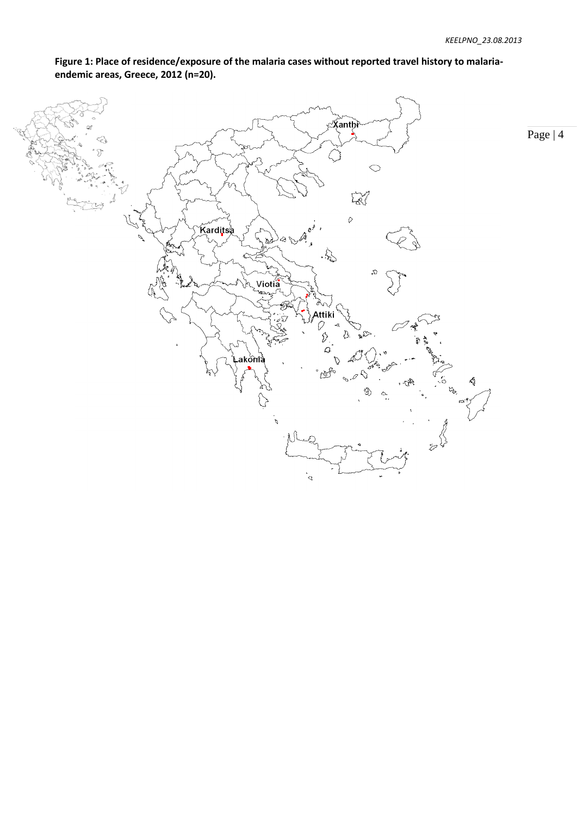

<span id="page-3-0"></span>**Figure 1: Place of residence/exposure of the malaria cases without reported travel history to malariaendemic areas, Greece, 2012 (n=20).**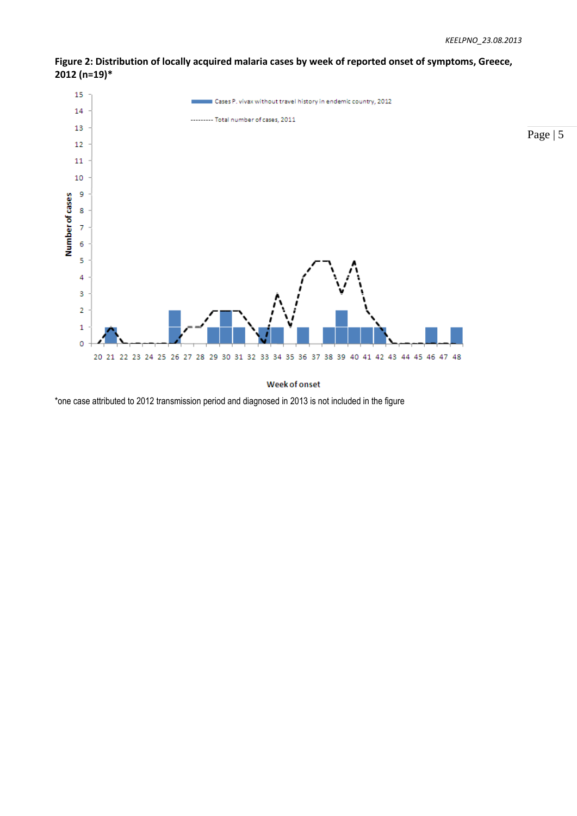

<span id="page-4-0"></span>**Figure 2: Distribution of locally acquired malaria cases by week of reported onset of symptoms, Greece, 2012 (n=19)\***

Week of onset

\*one case attributed to 2012 transmission period and diagnosed in 2013 is not included in the figure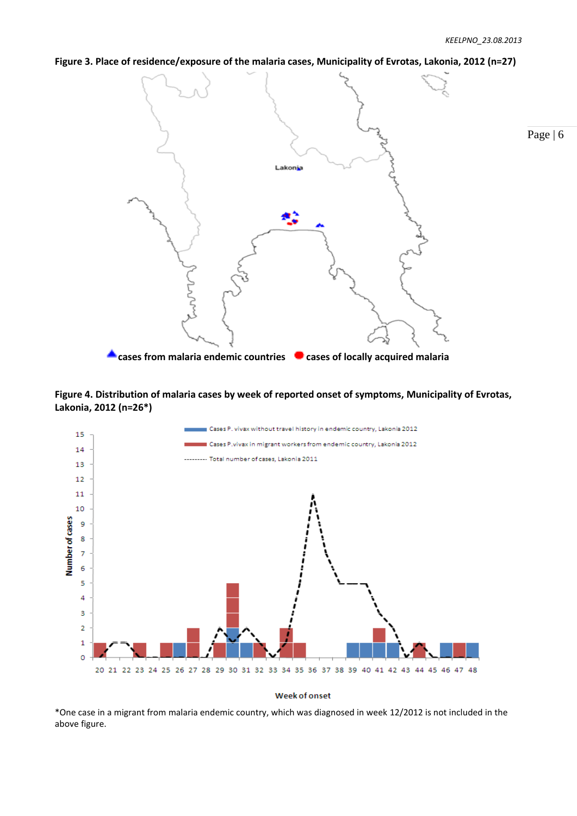# <span id="page-5-0"></span>**Figure 3. Place of residence/exposure of the malaria cases, Municipality of Evrotas, Lakonia, 2012 (n=27)**



<span id="page-5-1"></span>



#### **Week of onset**

\*One case in a migrant from malaria endemic country, which was diagnosed in week 12/2012 is not included in the above figure.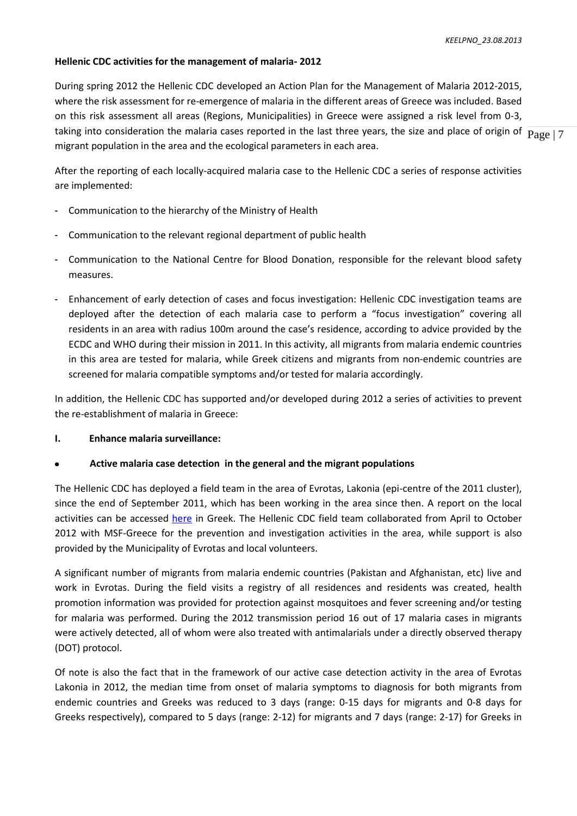# **Hellenic CDC activities for the management of malaria- 2012**

taking into consideration the malaria cases reported in the last three years, the size and place of origin of  $\rm{Page\,|\,7}$ During spring 2012 the Hellenic CDC developed an Action Plan for the Management of Malaria 2012-2015, where the risk assessment for re-emergence of malaria in the different areas of Greece was included. Based on this risk assessment all areas (Regions, Municipalities) in Greece were assigned a risk level from 0-3, migrant population in the area and the ecological parameters in each area.

After the reporting of each locally-acquired malaria case to the Hellenic CDC a series of response activities are implemented:

- Communication to the hierarchy of the Ministry of Health
- Communication to the relevant regional department of public health
- Communication to the National Centre for Blood Donation, responsible for the relevant blood safety measures.
- Enhancement of early detection of cases and focus investigation: Hellenic CDC investigation teams are deployed after the detection of each malaria case to perform a "focus investigation" covering all residents in an area with radius 100m around the case's residence, according to advice provided by the ECDC and WHO during their mission in 2011. In this activity, all migrants from malaria endemic countries in this area are tested for malaria, while Greek citizens and migrants from non-endemic countries are screened for malaria compatible symptoms and/or tested for malaria accordingly.

In addition, the Hellenic CDC has supported and/or developed during 2012 a series of activities to prevent the re-establishment of malaria in Greece:

## **I. Enhance malaria surveillance:**

# **Active malaria case detection in the general and the migrant populations**

The Hellenic CDC has deployed a field team in the area of Evrotas, Lakonia (epi-centre of the 2011 cluster), since the end of September 2011, which has been working in the area since then. A report on the local activities can be accessed [here](http://www.keelpno.gr/LinkClick.aspx?fileticket=6o9z53c6aks%3d&tabid=76&mid=1147&language=el-GR) in Greek. The Hellenic CDC field team collaborated from April to October 2012 with MSF-Greece for the prevention and investigation activities in the area, while support is also provided by the Municipality of Evrotas and local volunteers.

A significant number of migrants from malaria endemic countries (Pakistan and Afghanistan, etc) live and work in Evrotas. During the field visits a registry of all residences and residents was created, health promotion information was provided for protection against mosquitoes and fever screening and/or testing for malaria was performed. During the 2012 transmission period 16 out of 17 malaria cases in migrants were actively detected, all of whom were also treated with antimalarials under a directly observed therapy (DOT) protocol.

Of note is also the fact that in the framework of our active case detection activity in the area of Evrotas Lakonia in 2012, the median time from onset of malaria symptoms to diagnosis for both migrants from endemic countries and Greeks was reduced to 3 days (range: 0-15 days for migrants and 0-8 days for Greeks respectively), compared to 5 days (range: 2-12) for migrants and 7 days (range: 2-17) for Greeks in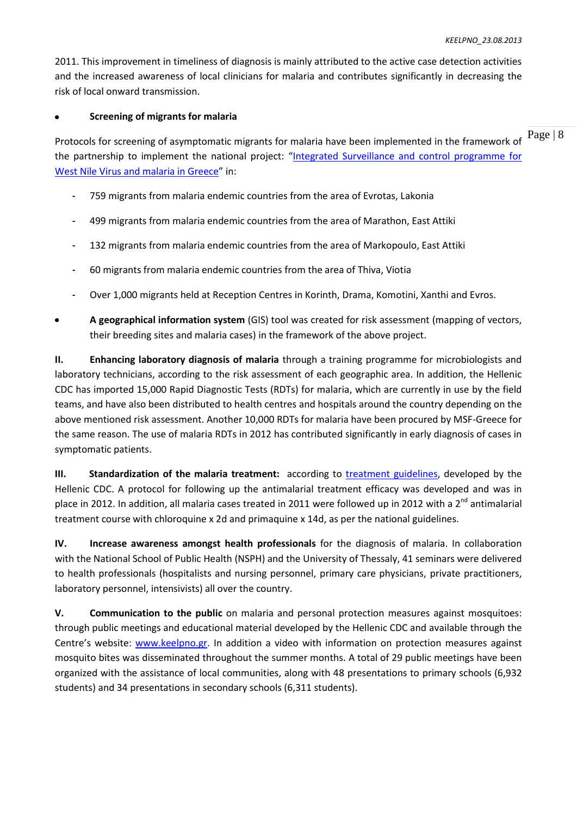2011. This improvement in timeliness of diagnosis is mainly attributed to the active case detection activities and the increased awareness of local clinicians for malaria and contributes significantly in decreasing the risk of local onward transmission.

# **Screening of migrants for malaria**

Protocols for screening of asymptomatic migrants for malaria have been implemented in the framework of  $\frac{Page}{}$  | 8 the partnership to implement the national project: "[Integrated Surveillance and control programme for](http://www.malwest.gr/en-us/nsrf.aspx)  [West Nile Virus and malaria in Greece](http://www.malwest.gr/en-us/nsrf.aspx)" in:

- 759 migrants from malaria endemic countries from the area of Evrotas, Lakonia
- 499 migrants from malaria endemic countries from the area of Marathon, East Attiki
- 132 migrants from malaria endemic countries from the area of Markopoulo, East Attiki
- 60 migrants from malaria endemic countries from the area of Thiva, Viotia
- Over 1,000 migrants held at Reception Centres in Korinth, Drama, Komotini, Xanthi and Evros.
- **A geographical information system** (GIS) tool was created for risk assessment (mapping of vectors, their breeding sites and malaria cases) in the framework of the above project.

**ΙΙ. Enhancing laboratory diagnosis of malaria** through a training programme for microbiologists and laboratory technicians, according to the risk assessment of each geographic area. In addition, the Hellenic CDC has imported 15,000 Rapid Diagnostic Tests (RDTs) for malaria, which are currently in use by the field teams, and have also been distributed to health centres and hospitals around the country depending on the above mentioned risk assessment. Another 10,000 RDTs for malaria have been procured by MSF-Greece for the same reason. The use of malaria RDTs in 2012 has contributed significantly in early diagnosis of cases in symptomatic patients.

**ΙΙΙ. Standardization of the malaria treatment:** according to [treatment guidelines,](http://www.keelpno.gr/Portals/0/������/��������/��������������%20�������-��������-26_7_2012.pdf) developed by the Hellenic CDC. A protocol for following up the antimalarial treatment efficacy was developed and was in place in 2012. In addition, all malaria cases treated in 2011 were followed up in 2012 with a 2<sup>nd</sup> antimalarial treatment course with chloroquine x 2d and primaquine x 14d, as per the national guidelines.

**IV. Increase awareness amongst health professionals** for the diagnosis of malaria. In collaboration with the National School of Public Health (NSPH) and the University of Thessaly, 41 seminars were delivered to health professionals (hospitalists and nursing personnel, primary care physicians, private practitioners, laboratory personnel, intensivists) all over the country.

**V. Communication to the public** on malaria and personal protection measures against mosquitoes: through public meetings and educational material developed by the Hellenic CDC and available through the Centre's website: [www.keelpno.gr.](http://www.keelpno.gr/) In addition a video with information on protection measures against mosquito bites was disseminated throughout the summer months. A total of 29 public meetings have been organized with the assistance of local communities, along with 48 presentations to primary schools (6,932 students) and 34 presentations in secondary schools (6,311 students).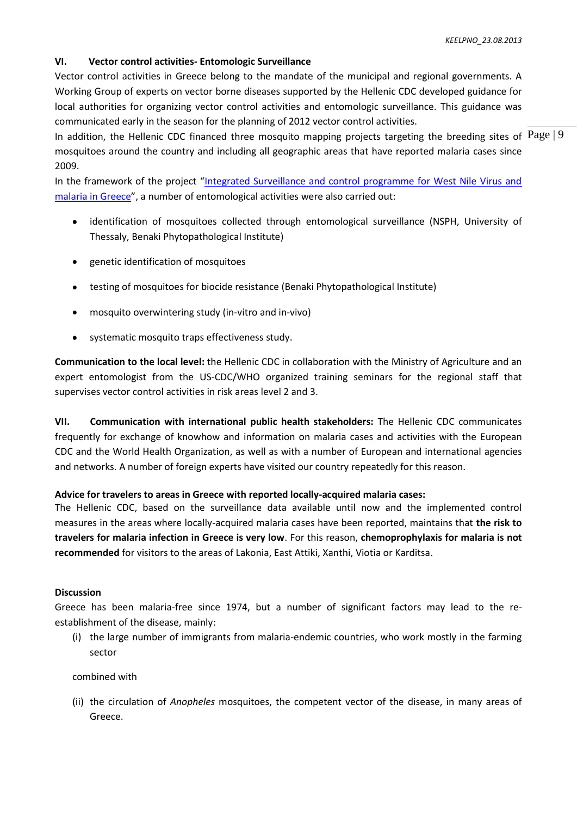# **VI. Vector control activities- Entomologic Surveillance**

Vector control activities in Greece belong to the mandate of the municipal and regional governments. A Working Group of experts on vector borne diseases supported by the Hellenic CDC developed guidance for local authorities for organizing vector control activities and entomologic surveillance. This guidance was communicated early in the season for the planning of 2012 vector control activities.

In addition, the Hellenic CDC financed three mosquito mapping projects targeting the breeding sites of  $\text{Page} | 9$ mosquitoes around the country and including all geographic areas that have reported malaria cases since 2009.

In the framework of the project "[Integrated Surveillance and control programme for West Nile Virus and](http://www.malwest.gr/en-us/nsrf.aspx)  [malaria in Greece](http://www.malwest.gr/en-us/nsrf.aspx)", a number of entomological activities were also carried out:

- $\bullet$ identification of mosquitoes collected through entomological surveillance (NSPH, University of Thessaly, Benaki Phytopathological Institute)
- genetic identification of mosquitoes  $\bullet$
- testing of mosquitoes for biocide resistance (Benaki Phytopathological Institute)  $\bullet$
- mosquito overwintering study (in-vitro and in-vivo)
- systematic mosquito traps effectiveness study.

**Communication to the local level:** the Hellenic CDC in collaboration with the Ministry of Agriculture and an expert entomologist from the US-CDC/WHO organized training seminars for the regional staff that supervises vector control activities in risk areas level 2 and 3.

**VII. Communication with international public health stakeholders:** The Hellenic CDC communicates frequently for exchange of knowhow and information on malaria cases and activities with the European CDC and the World Health Organization, as well as with a number of European and international agencies and networks. A number of foreign experts have visited our country repeatedly for this reason.

# **Advice for travelers to areas in Greece with reported locally-acquired malaria cases:**

The Hellenic CDC, based on the surveillance data available until now and the implemented control measures in the areas where locally-acquired malaria cases have been reported, maintains that **the risk to travelers for malaria infection in Greece is very low**. For this reason, **chemoprophylaxis for malaria is not recommended** for visitors to the areas of Lakonia, East Attiki, Xanthi, Viotia or Karditsa.

# **Discussion**

Greece has been malaria-free since 1974, but a number of significant factors may lead to the reestablishment of the disease, mainly:

(i) the large number of immigrants from malaria-endemic countries, who work mostly in the farming sector

# combined with

(ii) the circulation of *Anopheles* mosquitoes, the competent vector of the disease, in many areas of Greece.